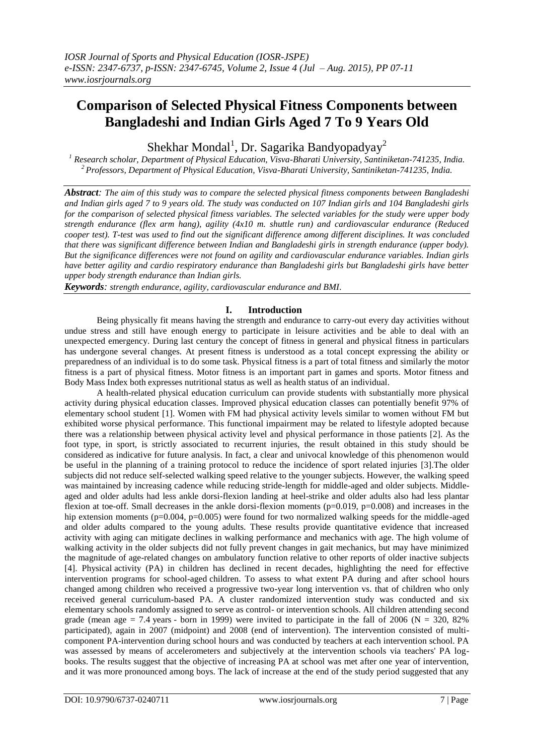# **Comparison of Selected Physical Fitness Components between Bangladeshi and Indian Girls Aged 7 To 9 Years Old**

Shekhar Mondal<sup>1</sup>, Dr. Sagarika Bandyopadyay<sup>2</sup>

*<sup>1</sup> Research scholar, Department of Physical Education, Visva-Bharati University, Santiniketan-741235, India. <sup>2</sup>Professors, Department of Physical Education, Visva-Bharati University, Santiniketan-741235, India.*

*Abstract: The aim of this study was to compare the selected physical fitness components between Bangladeshi and Indian girls aged 7 to 9 years old. The study was conducted on 107 Indian girls and 104 Bangladeshi girls for the comparison of selected physical fitness variables. The selected variables for the study were upper body strength endurance (flex arm hang), agility (4x10 m. shuttle run) and cardiovascular endurance (Reduced cooper test). T-test was used to find out the significant difference among different disciplines. It was concluded that there was significant difference between Indian and Bangladeshi girls in strength endurance (upper body). But the significance differences were not found on agility and cardiovascular endurance variables. Indian girls have better agility and cardio respiratory endurance than Bangladeshi girls but Bangladeshi girls have better upper body strength endurance than Indian girls.* 

*Keywords: strength endurance, agility, cardiovascular endurance and BMI.*

## **I. Introduction**

Being physically fit means having the strength and endurance to carry-out every day activities without undue stress and still have enough energy to participate in leisure activities and be able to deal with an unexpected emergency. During last century the concept of fitness in general and physical fitness in particulars has undergone several changes. At present fitness is understood as a total concept expressing the ability or preparedness of an individual is to do some task. Physical fitness is a part of total fitness and similarly the motor fitness is a part of physical fitness. Motor fitness is an important part in games and sports. Motor fitness and Body Mass Index both expresses nutritional status as well as health status of an individual.

A health-related physical education curriculum can provide students with substantially more physical activity during physical education classes. Improved physical education classes can potentially benefit 97% of elementary school student [1]. Women with FM had physical activity levels similar to women without FM but exhibited worse physical performance. This functional impairment may be related to lifestyle adopted because there was a relationship between physical activity level and physical performance in those patients [2]. As the foot type, in sport, is strictly associated to recurrent injuries, the result obtained in this study should be considered as indicative for future analysis. In fact, a clear and univocal knowledge of this phenomenon would be useful in the planning of a training protocol to reduce the incidence of sport related injuries [3].The older subjects did not reduce self-selected walking speed relative to the younger subjects. However, the walking speed was maintained by increasing cadence while reducing stride-length for middle-aged and older subjects. Middleaged and older adults had less ankle dorsi-flexion landing at heel-strike and older adults also had less plantar flexion at toe-off. Small decreases in the ankle dorsi-flexion moments ( $p=0.019$ ,  $p=0.008$ ) and increases in the hip extension moments ( $p=0.004$ ,  $p=0.005$ ) were found for two normalized walking speeds for the middle-aged and older adults compared to the young adults. These results provide quantitative evidence that increased activity with aging can mitigate declines in walking performance and mechanics with age. The high volume of walking activity in the older subjects did not fully prevent changes in gait mechanics, but may have minimized the magnitude of age-related changes on ambulatory function relative to other reports of older inactive subjects [4]. Physical activity (PA) in children has declined in recent decades, highlighting the need for effective intervention programs for school-aged children. To assess to what extent PA during and after school hours changed among children who received a progressive two-year long intervention vs. that of children who only received general curriculum-based PA. A cluster randomized intervention study was conducted and six elementary schools randomly assigned to serve as control- or intervention schools. All children attending second grade (mean age  $= 7.4$  years - born in 1999) were invited to participate in the fall of 2006 (N  $= 320, 82\%$ ) participated), again in 2007 (midpoint) and 2008 (end of intervention). The intervention consisted of multicomponent PA-intervention during school hours and was conducted by teachers at each intervention school. PA was assessed by means of accelerometers and subjectively at the intervention schools via teachers' PA logbooks. The results suggest that the objective of increasing PA at school was met after one year of intervention, and it was more pronounced among boys. The lack of increase at the end of the study period suggested that any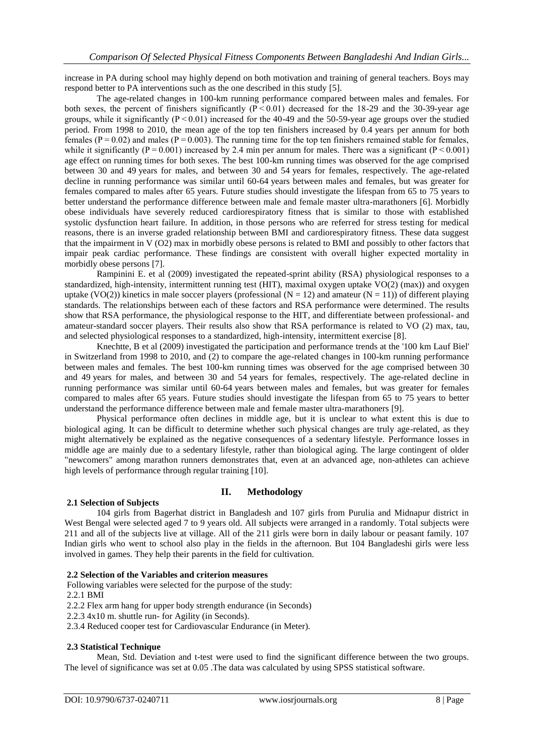increase in PA during school may highly depend on both motivation and training of general teachers. Boys may respond better to PA interventions such as the one described in this study [5].

The age-related changes in 100-km running performance compared between males and females. For both sexes, the percent of finishers significantly  $(P < 0.01)$  decreased for the 18-29 and the 30-39-year age groups, while it significantly  $(P < 0.01)$  increased for the 40-49 and the 50-59-year age groups over the studied period. From 1998 to 2010, the mean age of the top ten finishers increased by 0.4 years per annum for both females ( $P = 0.02$ ) and males ( $P = 0.003$ ). The running time for the top ten finishers remained stable for females, while it significantly ( $P = 0.001$ ) increased by 2.4 min per annum for males. There was a significant ( $P < 0.001$ ) age effect on running times for both sexes. The best 100-km running times was observed for the age comprised between 30 and 49 years for males, and between 30 and 54 years for females, respectively. The age-related decline in running performance was similar until 60-64 years between males and females, but was greater for females compared to males after 65 years. Future studies should investigate the lifespan from 65 to 75 years to better understand the performance difference between male and female master ultra-marathoners [6]. Morbidly obese individuals have severely reduced cardiorespiratory fitness that is similar to those with established systolic dysfunction heart failure. In addition, in those persons who are referred for stress testing for medical reasons, there is an inverse graded relationship between BMI and cardiorespiratory fitness. These data suggest that the impairment in V (O2) max in morbidly obese persons is related to BMI and possibly to other factors that impair peak cardiac performance. These findings are consistent with overall higher expected mortality in morbidly obese persons [7].

Rampinini E. et al (2009) investigated the repeated-sprint ability (RSA) physiological responses to a standardized, high-intensity, intermittent running test (HIT), maximal oxygen uptake VO(2) (max)) and oxygen uptake (VO(2)) kinetics in male soccer players (professional ( $N = 12$ ) and amateur ( $N = 11$ )) of different playing standards. The relationships between each of these factors and RSA performance were determined. The results show that RSA performance, the physiological response to the HIT, and differentiate between professional- and amateur-standard soccer players. Their results also show that RSA performance is related to VO (2) max, tau, and selected physiological responses to a standardized, high-intensity, intermittent exercise [8].

Knechtte, B et al (2009) investigated the participation and performance trends at the '100 km Lauf Biel' in Switzerland from 1998 to 2010, and (2) to compare the age-related changes in 100-km running performance between males and females. The best 100-km running times was observed for the age comprised between 30 and 49 years for males, and between 30 and 54 years for females, respectively. The age-related decline in running performance was similar until 60-64 years between males and females, but was greater for females compared to males after 65 years. Future studies should investigate the lifespan from 65 to 75 years to better understand the performance difference between male and female master ultra-marathoners [9].

Physical performance often declines in middle age, but it is unclear to what extent this is due to biological aging. It can be difficult to determine whether such physical changes are truly age-related, as they might alternatively be explained as the negative consequences of a sedentary lifestyle. Performance losses in middle age are mainly due to a sedentary lifestyle, rather than biological aging. The large contingent of older "newcomers" among marathon runners demonstrates that, even at an advanced age, non-athletes can achieve high levels of performance through regular training [10].

#### **II. Methodology**

#### **2.1 Selection of Subjects**

104 girls from Bagerhat district in Bangladesh and 107 girls from Purulia and Midnapur district in West Bengal were selected aged 7 to 9 years old. All subjects were arranged in a randomly. Total subjects were 211 and all of the subjects live at village. All of the 211 girls were born in daily labour or peasant family. 107 Indian girls who went to school also play in the fields in the afternoon. But 104 Bangladeshi girls were less involved in games. They help their parents in the field for cultivation.

#### **2.2 Selection of the Variables and criterion measures**

Following variables were selected for the purpose of the study:

#### 2.2.1 BMI

2.2.2 Flex arm hang for upper body strength endurance (in Seconds)

2.2.3 4x10 m. shuttle run- for Agility (in Seconds).

2.3.4 Reduced cooper test for Cardiovascular Endurance (in Meter).

#### **2.3 Statistical Technique**

Mean, Std. Deviation and t-test were used to find the significant difference between the two groups. The level of significance was set at 0.05 .The data was calculated by using SPSS statistical software.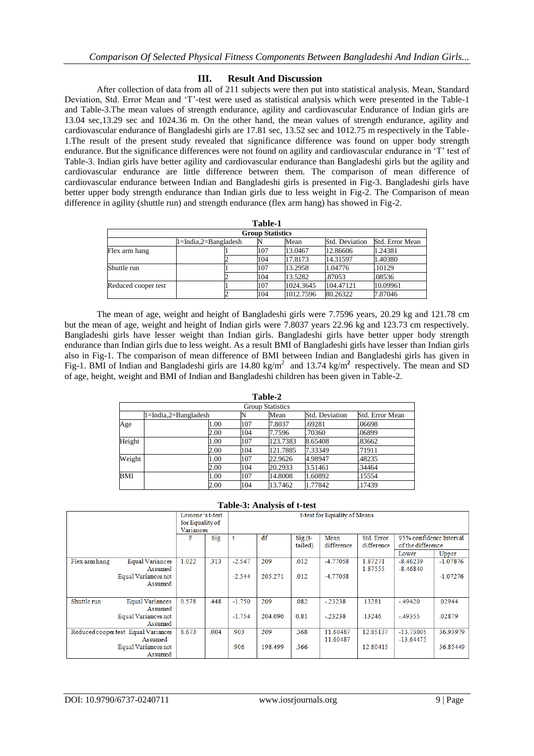### **III. Result And Discussion**

After collection of data from all of 211 subjects were then put into statistical analysis. Mean, Standard Deviation, Std. Error Mean and 'T'-test were used as statistical analysis which were presented in the Table-1 and Table-3.The mean values of strength endurance, agility and cardiovascular Endurance of Indian girls are 13.04 sec,13.29 sec and 1024.36 m. On the other hand, the mean values of strength endurance, agility and cardiovascular endurance of Bangladeshi girls are 17.81 sec, 13.52 sec and 1012.75 m respectively in the Table-1.The result of the present study revealed that significance difference was found on upper body strength endurance. But the significance differences were not found on agility and cardiovascular endurance in 'T' test of Table-3. Indian girls have better agility and cardiovascular endurance than Bangladeshi girls but the agility and cardiovascular endurance are little difference between them. The comparison of mean difference of cardiovascular endurance between Indian and Bangladeshi girls is presented in Fig-3. Bangladeshi girls have better upper body strength endurance than Indian girls due to less weight in Fig-2. The Comparison of mean difference in agility (shuttle run) and strength endurance (flex arm hang) has showed in Fig-2.

| Table-1                 |                            |  |     |           |                |                 |  |  |  |
|-------------------------|----------------------------|--|-----|-----------|----------------|-----------------|--|--|--|
| <b>Group Statistics</b> |                            |  |     |           |                |                 |  |  |  |
|                         | $1 = India.2 = Bangladesh$ |  |     | Mean      | Std. Deviation | Std. Error Mean |  |  |  |
| Flex arm hang           |                            |  | 107 | 13.0467   | 12.86606       | 1.24381         |  |  |  |
|                         |                            |  | 104 | 17.8173   | 14.31597       | 1.40380         |  |  |  |
| Shuttle run             |                            |  | 107 | 13.2958   | 1.04776        | .10129          |  |  |  |
|                         |                            |  | 104 | 13.5282   | .87053         | .08536          |  |  |  |
| Reduced cooper test     |                            |  | 107 | 1024.3645 | 104.47121      | 10.09961        |  |  |  |
|                         |                            |  | 104 | 1012.7596 | 80.26322       | 7.87046         |  |  |  |

The mean of age, weight and height of Bangladeshi girls were 7.7596 years, 20.29 kg and 121.78 cm but the mean of age, weight and height of Indian girls were 7.8037 years 22.96 kg and 123.73 cm respectively. Bangladeshi girls have lesser weight than Indian girls. Bangladeshi girls have better upper body strength endurance than Indian girls due to less weight. As a result BMI of Bangladeshi girls have lesser than Indian girls also in Fig-1. The comparison of mean difference of BMI between Indian and Bangladeshi girls has given in Fig-1. BMI of Indian and Bangladeshi girls are  $14.80 \text{ kg/m}^2$  and  $13.74 \text{ kg/m}^2$  respectively. The mean and SD of age, height, weight and BMI of Indian and Bangladeshi children has been given in Table-2.

| таріс-4                 |                      |      |     |          |                |                 |  |  |  |
|-------------------------|----------------------|------|-----|----------|----------------|-----------------|--|--|--|
| <b>Group Statistics</b> |                      |      |     |          |                |                 |  |  |  |
|                         | 1=India,2=Bangladesh |      |     | Mean     | Std. Deviation | Std. Error Mean |  |  |  |
| Age                     |                      | 1.00 | 107 | 7.8037   | .69281         | .06698          |  |  |  |
|                         |                      | 2.00 | 104 | 7.7596   | .70360         | .06899          |  |  |  |
| Height                  |                      | 1.00 | 107 | 123.7383 | 8.65408        | 83662           |  |  |  |
|                         |                      | 2.00 | 104 | 121.7885 | 7.33349        | 71911           |  |  |  |
| Weight                  |                      | 1.00 | 107 | 22.9626  | 4.98947        | .48235          |  |  |  |
|                         |                      | 2.00 | 104 | 20.2933  | 3.51461        | 34464           |  |  |  |
| <b>BMI</b>              |                      | 1.00 | 107 | 14.8008  | 1.60892        | 15554           |  |  |  |
|                         |                      | 2.00 | 104 | 13.7462  | 1.77842        | 17439           |  |  |  |

**Table-2**

| <b>Table-3: Analysis of t-test</b>             |                                       |                              |      |                                                                                                                                   |         |      |                      |                    |                            |            |  |
|------------------------------------------------|---------------------------------------|------------------------------|------|-----------------------------------------------------------------------------------------------------------------------------------|---------|------|----------------------|--------------------|----------------------------|------------|--|
|                                                | Lemene's t-test                       |                              |      | t-test for Equality of Means                                                                                                      |         |      |                      |                    |                            |            |  |
|                                                |                                       | for Equality of<br>Variances |      |                                                                                                                                   |         |      |                      |                    |                            |            |  |
|                                                |                                       | F                            | Sig. | df<br>95% confidence Interval<br>Std. Error<br>$Sig(t-)$<br>Mean<br>t<br>difference<br>tailed)<br>difference<br>of the difference |         |      |                      |                    |                            |            |  |
|                                                |                                       |                              |      |                                                                                                                                   |         |      |                      |                    | Lower                      | Upper      |  |
| Flex arm hang                                  | <b>Equal Variances</b><br>Assumed     | 1.022                        | .313 | $-2.547$                                                                                                                          | 209     | .012 | $-4.77058$           | 1.87271<br>1.87555 | $-8.46239$<br>$-8.46840$   | $-1.07876$ |  |
|                                                | <b>Equal Variances not</b><br>Assumed |                              |      | $-2.544$                                                                                                                          | 205.271 | .012 | $-4.77058$           |                    |                            | $-1.07276$ |  |
| Shuttle run                                    | <b>Equal Variances</b><br>Assumed     | 0.578                        | .448 | $-1.750$                                                                                                                          | 209     | .082 | $-.23238$            | .13281             | $-.49420$                  | .02944     |  |
|                                                | Equal Variances not<br>Assumed        |                              |      | $-1.754$                                                                                                                          | 204.090 | 0.81 | $-.23238$            | .13246             | $-.49355$                  | .02879     |  |
| Reduced cooper test Equal Variances<br>Assumed |                                       | 8.673                        | .004 | .903                                                                                                                              | 209     | .368 | 11.60487<br>11.60487 | 12.85137           | $-13.73005$<br>$-13.64475$ | 36.93979   |  |
| Equal Variances not<br>Assumed                 |                                       |                              |      | .906                                                                                                                              | 198.499 | .366 |                      | 12.80415           |                            | 36.85449   |  |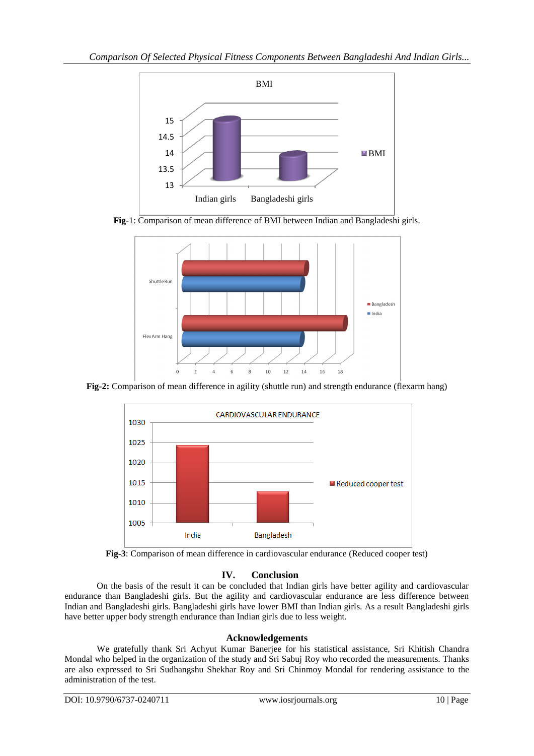

**Fig**-1: Comparison of mean difference of BMI between Indian and Bangladeshi girls.



**Fig-2:** Comparison of mean difference in agility (shuttle run) and strength endurance (flexarm hang)





# **IV. Conclusion**

On the basis of the result it can be concluded that Indian girls have better agility and cardiovascular endurance than Bangladeshi girls. But the agility and cardiovascular endurance are less difference between Indian and Bangladeshi girls. Bangladeshi girls have lower BMI than Indian girls. As a result Bangladeshi girls have better upper body strength endurance than Indian girls due to less weight.

# **Acknowledgements**

We gratefully thank Sri Achyut Kumar Banerjee for his statistical assistance, Sri Khitish Chandra Mondal who helped in the organization of the study and Sri Sabuj Roy who recorded the measurements. Thanks are also expressed to Sri Sudhangshu Shekhar Roy and Sri Chinmoy Mondal for rendering assistance to the administration of the test.